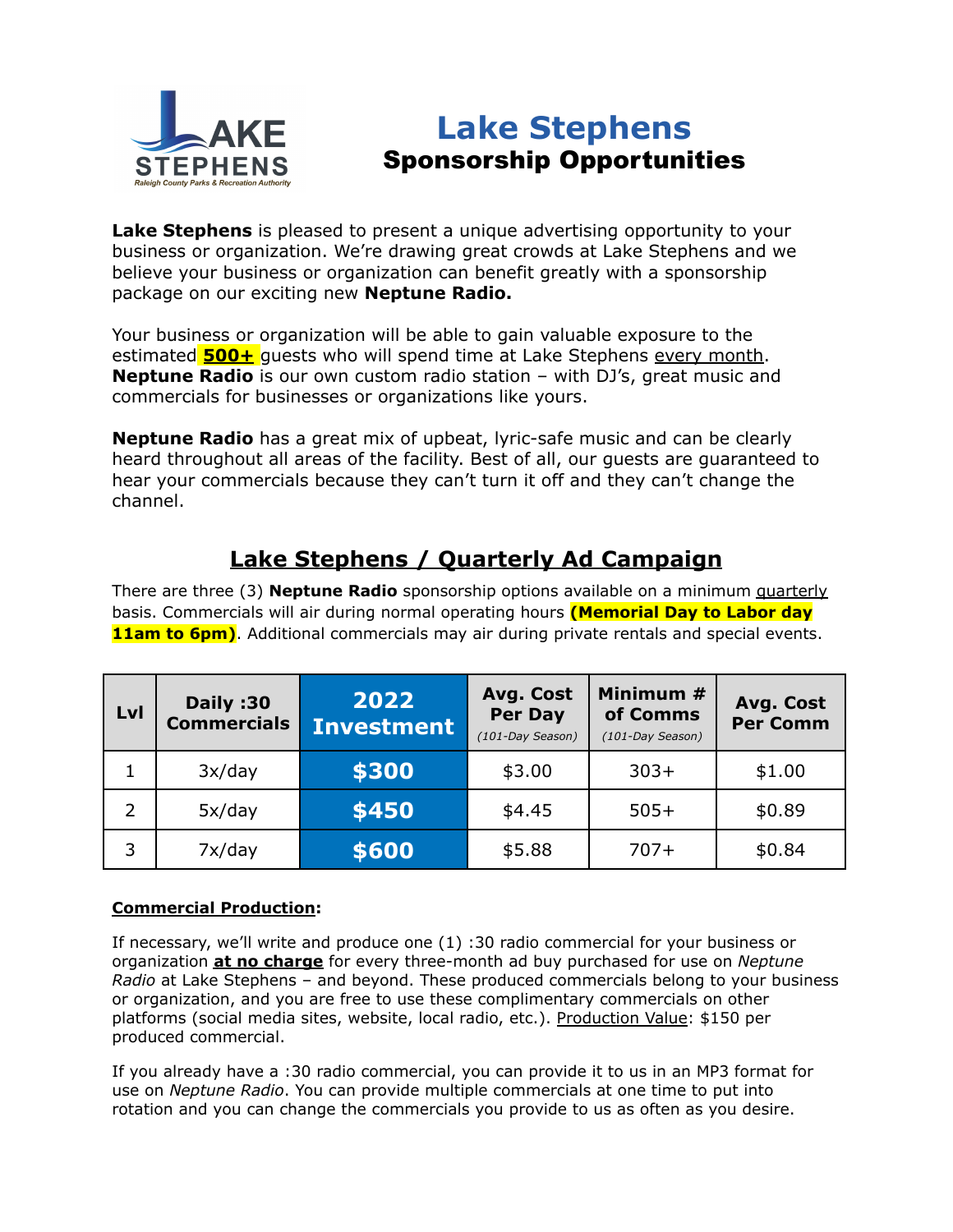

# **Lake Stephens** Sponsorship Opportunities

**Lake Stephens** is pleased to present a unique advertising opportunity to your business or organization. We're drawing great crowds at Lake Stephens and we believe your business or organization can benefit greatly with a sponsorship package on our exciting new **Neptune Radio.**

Your business or organization will be able to gain valuable exposure to the estimated **500+** quests who will spend time at Lake Stephens every month. **Neptune Radio** is our own custom radio station – with DJ's, great music and commercials for businesses or organizations like yours.

**Neptune Radio** has a great mix of upbeat, lyric-safe music and can be clearly heard throughout all areas of the facility. Best of all, our guests are guaranteed to hear your commercials because they can't turn it off and they can't change the channel.

# **Lake Stephens / Quarterly Ad Campaign**

There are three (3) **Neptune Radio** sponsorship options available on a minimum quarterly basis. Commercials will air during normal operating hours **(Memorial Day to Labor day 11am to 6pm)**. Additional commercials may air during private rentals and special events.

| Lvl | Daily:30<br><b>Commercials</b> | 2022<br><b>Investment</b> | Avg. Cost<br>Per Day<br>(101-Day Season) | Minimum #<br>of Comms<br>(101-Day Season) | Avg. Cost<br><b>Per Comm</b> |
|-----|--------------------------------|---------------------------|------------------------------------------|-------------------------------------------|------------------------------|
| 1   | 3x/day                         | \$300                     | \$3.00                                   | $303+$                                    | \$1.00                       |
| 2   | 5x/day                         | \$450                     | \$4.45                                   | $505+$                                    | \$0.89                       |
| 3   | 7x/day                         | \$600                     | \$5.88                                   | $707+$                                    | \$0.84                       |

### **Commercial Production:**

If necessary, we'll write and produce one (1) :30 radio commercial for your business or organization **at no charge** for every three-month ad buy purchased for use on *Neptune Radio* at Lake Stephens – and beyond. These produced commercials belong to your business or organization, and you are free to use these complimentary commercials on other platforms (social media sites, website, local radio, etc.). Production Value: \$150 per produced commercial.

If you already have a :30 radio commercial, you can provide it to us in an MP3 format for use on *Neptune Radio*. You can provide multiple commercials at one time to put into rotation and you can change the commercials you provide to us as often as you desire.